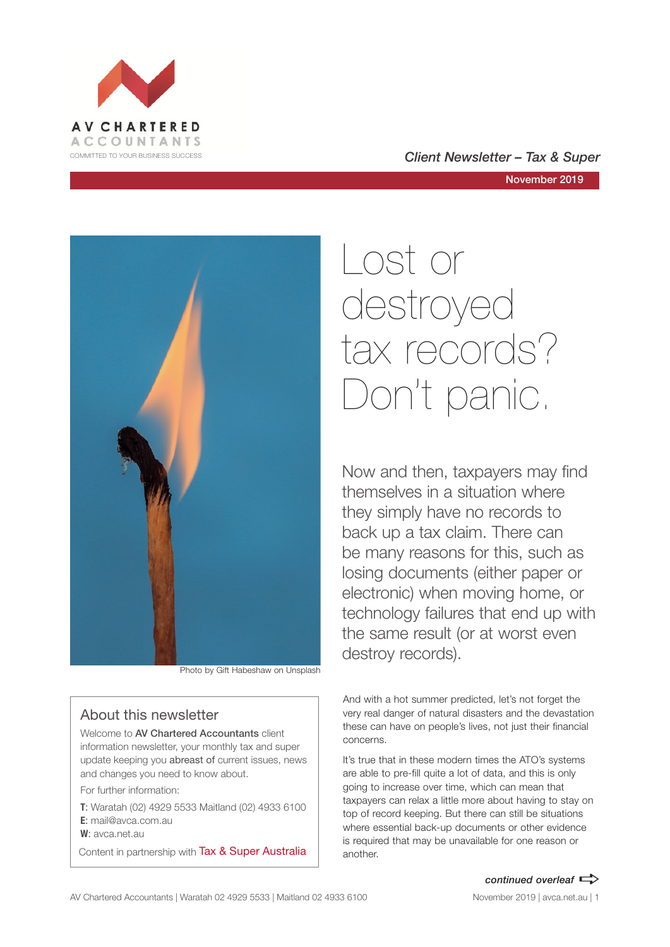

#### COMMITTED TO YOUR BUSINESS SUCCESS **COMMITTED TO YOUR BUSINESS SUCCESS**

November 2019



Photo by Gift Habeshaw on Unsplash

#### About this newsletter

Welcome to AV Chartered Accountants client information newsletter, your monthly tax and super update keeping you abreast of current issues, news and changes you need to know about.

For further information:

**T**: Waratah (02) 4929 5533 Maitland (02) 4933 6100 **E**: mail@avca.com.au

**W**: avca.net.au

Content in partnership with Tax & Super Australia

# Lost or destroyed tax records? Don't panic.

Now and then, taxpayers may find themselves in a situation where they simply have no records to back up a tax claim. There can be many reasons for this, such as losing documents (either paper or electronic) when moving home, or technology failures that end up with the same result (or at worst even destroy records).

And with a hot summer predicted, let's not forget the very real danger of natural disasters and the devastation these can have on people's lives, not just their financial concerns.

It's true that in these modern times the ATO's systems are able to pre-fill quite a lot of data, and this is only going to increase over time, which can mean that taxpayers can relax a little more about having to stay on top of record keeping. But there can still be situations where essential back-up documents or other evidence is required that may be unavailable for one reason or another.

#### *continued overleaf*  $\Rightarrow$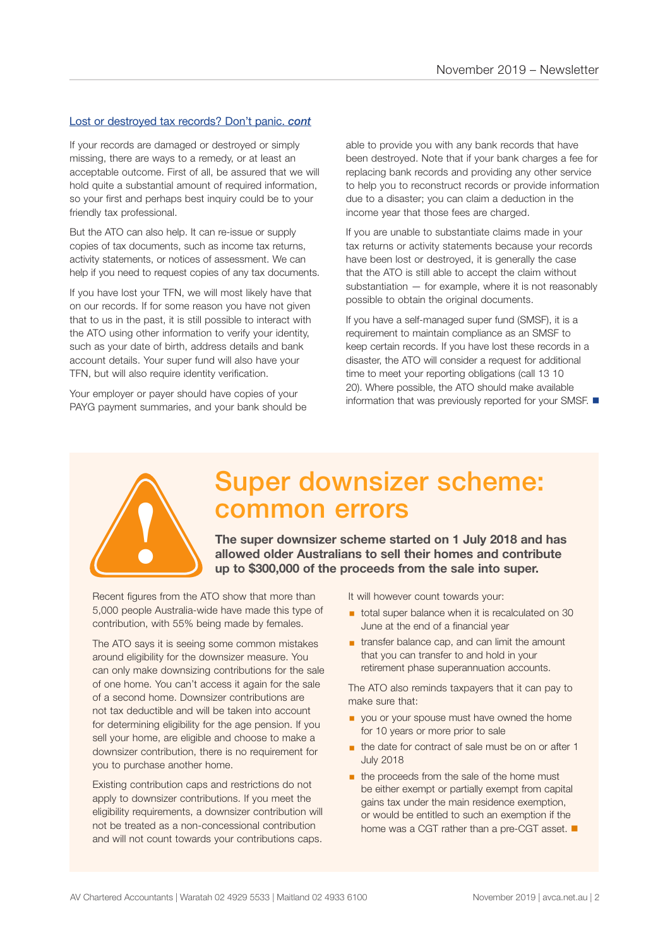#### Lost or destroyed tax records? Don't panic. *cont*

If your records are damaged or destroyed or simply missing, there are ways to a remedy, or at least an acceptable outcome. First of all, be assured that we will hold quite a substantial amount of required information, so your first and perhaps best inquiry could be to your friendly tax professional.

But the ATO can also help. It can re-issue or supply copies of tax documents, such as income tax returns, activity statements, or notices of assessment. We can help if you need to request copies of any tax documents.

If you have lost your TFN, we will most likely have that on our records. If for some reason you have not given that to us in the past, it is still possible to interact with the ATO using other information to verify your identity, such as your date of birth, address details and bank account details. Your super fund will also have your TFN, but will also require identity verification.

Your employer or payer should have copies of your PAYG payment summaries, and your bank should be

able to provide you with any bank records that have been destroyed. Note that if your bank charges a fee for replacing bank records and providing any other service to help you to reconstruct records or provide information due to a disaster; you can claim a deduction in the income year that those fees are charged.

If you are unable to substantiate claims made in your tax returns or activity statements because your records have been lost or destroyed, it is generally the case that the ATO is still able to accept the claim without substantiation — for example, where it is not reasonably possible to obtain the original documents.

If you have a self-managed super fund (SMSF), it is a requirement to maintain compliance as an SMSF to keep certain records. If you have lost these records in a disaster, the ATO will consider a request for additional time to meet your reporting obligations (call 13 10 20). Where possible, the ATO should make available information that was previously reported for your SMSF.  $\blacksquare$ 



### Super downsizer scheme: common errors

**The super downsizer scheme started on 1 July 2018 and has allowed older Australians to sell their homes and contribute up to \$300,000 of the proceeds from the sale into super.** 

Recent figures from the ATO show that more than 5,000 people Australia-wide have made this type of contribution, with 55% being made by females.

The ATO says it is seeing some common mistakes around eligibility for the downsizer measure. You can only make downsizing contributions for the sale of one home. You can't access it again for the sale of a second home. Downsizer contributions are not tax deductible and will be taken into account for determining eligibility for the age pension. If you sell your home, are eligible and choose to make a downsizer contribution, there is no requirement for you to purchase another home.

Existing contribution caps and restrictions do not apply to downsizer contributions. If you meet the eligibility requirements, a downsizer contribution will not be treated as a non-concessional contribution and will not count towards your contributions caps.

It will however count towards your:

- total super balance when it is recalculated on 30 June at the end of a financial year
- **Extending transfer balance cap, and can limit the amount** that you can transfer to and hold in your retirement phase superannuation accounts.

The ATO also reminds taxpayers that it can pay to make sure that:

- **•** you or your spouse must have owned the home for 10 years or more prior to sale
- the date for contract of sale must be on or after 1 July 2018
- the proceeds from the sale of the home must be either exempt or partially exempt from capital gains tax under the main residence exemption, or would be entitled to such an exemption if the home was a CGT rather than a pre-CGT asset.  $\blacksquare$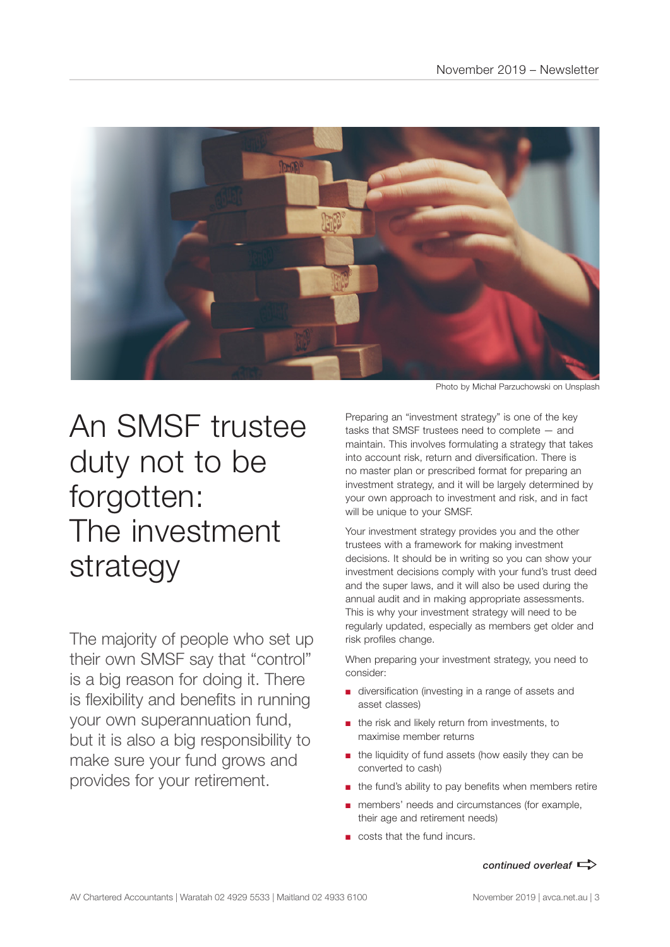

### An SMSF trustee duty not to be forgotten: The investment strategy

The majority of people who set up their own SMSF say that "control" is a big reason for doing it. There is flexibility and benefits in running your own superannuation fund, but it is also a big responsibility to make sure your fund grows and provides for your retirement.

Photo by Michał Parzuchowski on Unsplash

Preparing an "investment strategy" is one of the key tasks that SMSF trustees need to complete — and maintain. This involves formulating a strategy that takes into account risk, return and diversification. There is no master plan or prescribed format for preparing an investment strategy, and it will be largely determined by your own approach to investment and risk, and in fact will be unique to your SMSF.

Your investment strategy provides you and the other trustees with a framework for making investment decisions. It should be in writing so you can show your investment decisions comply with your fund's trust deed and the super laws, and it will also be used during the annual audit and in making appropriate assessments. This is why your investment strategy will need to be regularly updated, especially as members get older and risk profiles change.

When preparing your investment strategy, you need to consider:

- diversification (investing in a range of assets and asset classes)
- the risk and likely return from investments, to maximise member returns
- the liquidity of fund assets (how easily they can be converted to cash)
- the fund's ability to pay benefits when members retire
- members' needs and circumstances (for example, their age and retirement needs)
- costs that the fund incurs.

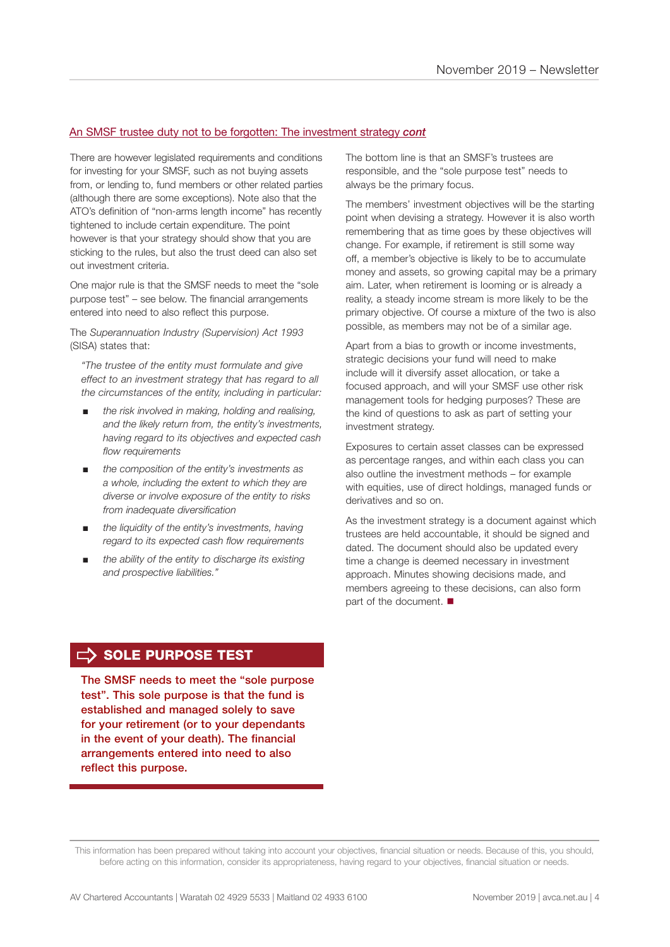#### An SMSF trustee duty not to be forgotten: The investment strategy *cont*

There are however legislated requirements and conditions for investing for your SMSF, such as not buying assets from, or lending to, fund members or other related parties (although there are some exceptions). Note also that the ATO's definition of "non-arms length income" has recently tightened to include certain expenditure. The point however is that your strategy should show that you are sticking to the rules, but also the trust deed can also set out investment criteria.

One major rule is that the SMSF needs to meet the "sole purpose test" – see below. The financial arrangements entered into need to also reflect this purpose.

The *Superannuation Industry (Supervision) Act 1993* (SISA) states that:

*"The trustee of the entity must formulate and give effect to an investment strategy that has regard to all the circumstances of the entity, including in particular:* 

- *the risk involved in making, holding and realising. and the likely return from, the entity's investments, having regard to its objectives and expected cash flow requirements*
- *the composition of the entity's investments as a whole, including the extent to which they are diverse or involve exposure of the entity to risks from inadequate diversification*
- *the liquidity of the entity's investments, having regard to its expected cash flow requirements*
- the ability of the entity to discharge its existing *and prospective liabilities."*

The bottom line is that an SMSF's trustees are responsible, and the "sole purpose test" needs to always be the primary focus.

The members' investment objectives will be the starting point when devising a strategy. However it is also worth remembering that as time goes by these objectives will change. For example, if retirement is still some way off, a member's objective is likely to be to accumulate money and assets, so growing capital may be a primary aim. Later, when retirement is looming or is already a reality, a steady income stream is more likely to be the primary objective. Of course a mixture of the two is also possible, as members may not be of a similar age.

Apart from a bias to growth or income investments, strategic decisions your fund will need to make include will it diversify asset allocation, or take a focused approach, and will your SMSF use other risk management tools for hedging purposes? These are the kind of questions to ask as part of setting your investment strategy.

Exposures to certain asset classes can be expressed as percentage ranges, and within each class you can also outline the investment methods – for example with equities, use of direct holdings, managed funds or derivatives and so on.

As the investment strategy is a document against which trustees are held accountable, it should be signed and dated. The document should also be updated every time a change is deemed necessary in investment approach. Minutes showing decisions made, and members agreeing to these decisions, can also form part of the document.  $\blacksquare$ 

#### $\Rightarrow$  SOLE PURPOSE TEST

The SMSF needs to meet the "sole purpose test". This sole purpose is that the fund is established and managed solely to save for your retirement (or to your dependants in the event of your death). The financial arrangements entered into need to also reflect this purpose.

This information has been prepared without taking into account your objectives, financial situation or needs. Because of this, you should, before acting on this information, consider its appropriateness, having regard to your objectives, financial situation or needs.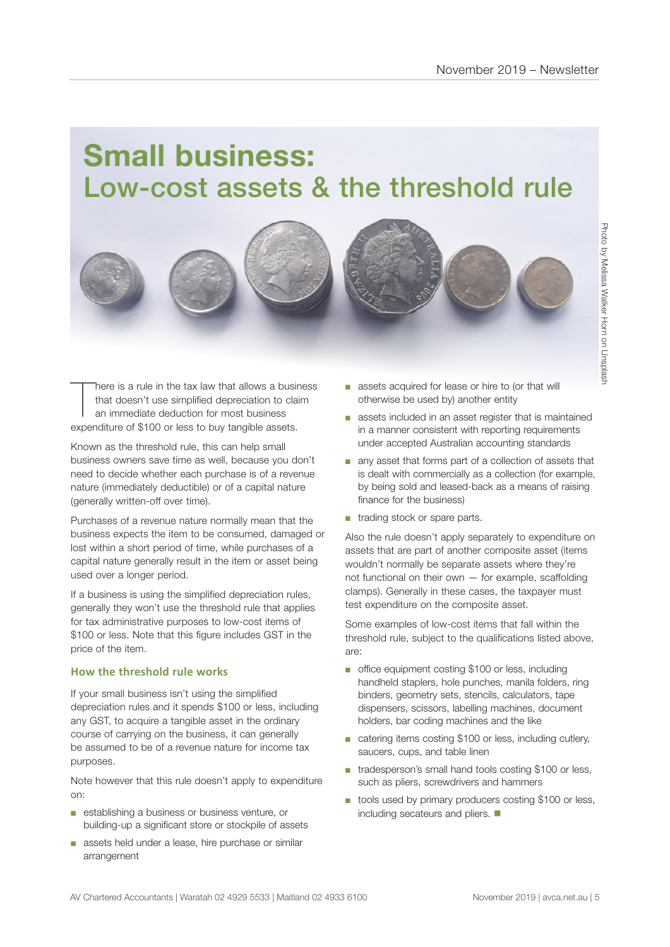### **Small business:**  Low-cost assets & the threshold rule



There is a rule in the tax law that allows a busit that doesn't use simplified depreciation to cla<br>an immediate deduction for most business<br>expenditure of \$100 or less to buy tangible assets. here is a rule in the tax law that allows a business that doesn't use simplified depreciation to claim an immediate deduction for most business

Known as the threshold rule, this can help small business owners save time as well, because you don't need to decide whether each purchase is of a revenue nature (immediately deductible) or of a capital nature (generally written-off over time).

Purchases of a revenue nature normally mean that the business expects the item to be consumed, damaged or lost within a short period of time, while purchases of a capital nature generally result in the item or asset being used over a longer period.

If a business is using the simplified depreciation rules, generally they won't use the threshold rule that applies for tax administrative purposes to low-cost items of \$100 or less. Note that this figure includes GST in the price of the item.

#### **How the threshold rule works**

If your small business isn't using the simplified depreciation rules and it spends \$100 or less, including any GST, to acquire a tangible asset in the ordinary course of carrying on the business, it can generally be assumed to be of a revenue nature for income tax purposes.

Note however that this rule doesn't apply to expenditure on:

- establishing a business or business venture, or building-up a significant store or stockpile of assets
- assets held under a lease, hire purchase or similar arrangement
- assets acquired for lease or hire to (or that will otherwise be used by) another entity
- assets included in an asset register that is maintained in a manner consistent with reporting requirements under accepted Australian accounting standards
- any asset that forms part of a collection of assets that is dealt with commercially as a collection (for example, by being sold and leased-back as a means of raising finance for the business)
- trading stock or spare parts.

Also the rule doesn't apply separately to expenditure on assets that are part of another composite asset (items wouldn't normally be separate assets where they're not functional on their own — for example, scaffolding clamps). Generally in these cases, the taxpayer must test expenditure on the composite asset.

Some examples of low-cost items that fall within the threshold rule, subject to the qualifications listed above, are:

- office equipment costing \$100 or less, including handheld staplers, hole punches, manila folders, ring binders, geometry sets, stencils, calculators, tape dispensers, scissors, labelling machines, document holders, bar coding machines and the like
- catering items costing \$100 or less, including cutlery, saucers, cups, and table linen
- tradesperson's small hand tools costing \$100 or less, such as pliers, screwdrivers and hammers
- tools used by primary producers costing \$100 or less, including secateurs and pliers.  $\blacksquare$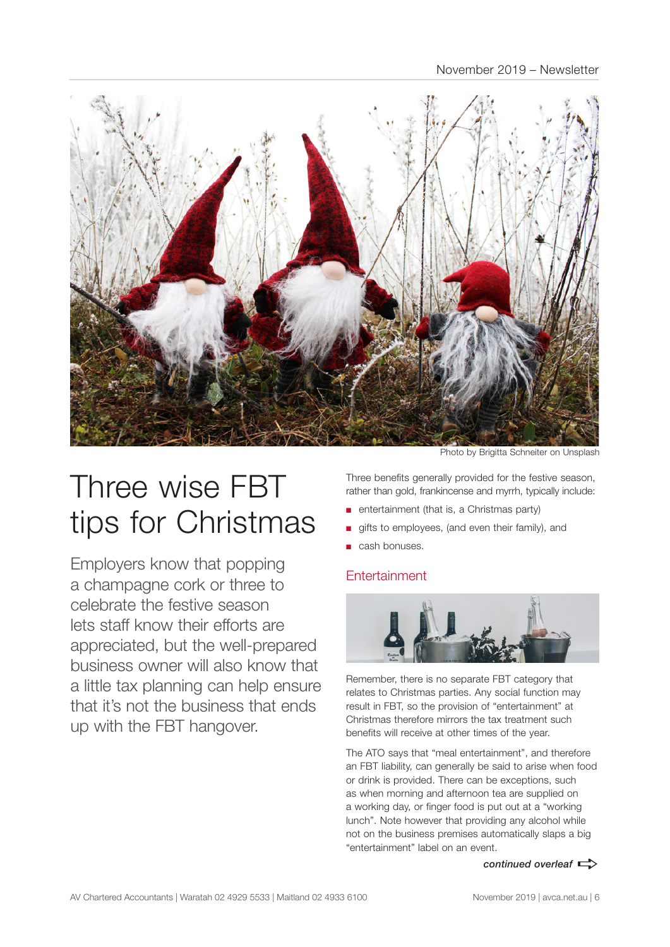

## Three wise FBT tips for Christmas

Employers know that popping a champagne cork or three to celebrate the festive season lets staff know their efforts are appreciated, but the well-prepared business owner will also know that a little tax planning can help ensure that it's not the business that ends up with the FBT hangover.

Photo by Brigitta Schneiter on Unsplash

Three benefits generally provided for the festive season, rather than gold, frankincense and myrrh, typically include:

- entertainment (that is, a Christmas party)
- gifts to employees, (and even their family), and
- cash bonuses.

#### **Entertainment**



Remember, there is no separate FBT category that relates to Christmas parties. Any social function may result in FBT, so the provision of "entertainment" at Christmas therefore mirrors the tax treatment such benefits will receive at other times of the year.

The ATO says that "meal entertainment", and therefore an FBT liability, can generally be said to arise when food or drink is provided. There can be exceptions, such as when morning and afternoon tea are supplied on a working day, or finger food is put out at a "working lunch". Note however that providing any alcohol while not on the business premises automatically slaps a big "entertainment" label on an event.

*continued overleaf*  $\Rightarrow$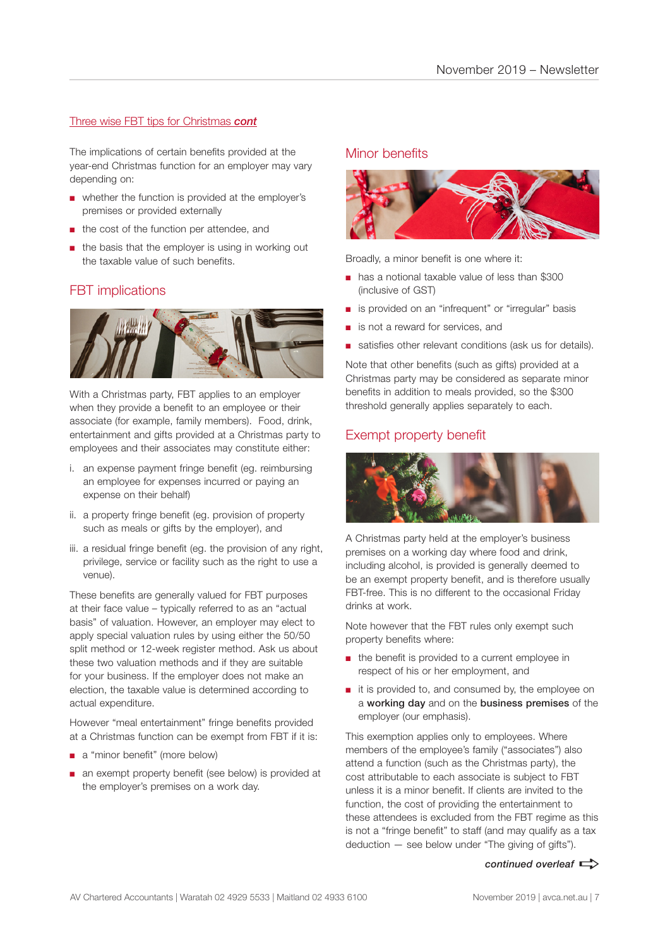#### Three wise FBT tips for Christmas *cont*

The implications of certain benefits provided at the year-end Christmas function for an employer may vary depending on:

- whether the function is provided at the employer's premises or provided externally
- the cost of the function per attendee, and
- the basis that the employer is using in working out the taxable value of such benefits.

#### FBT implications



With a Christmas party, FBT applies to an employer when they provide a benefit to an employee or their associate (for example, family members). Food, drink, entertainment and gifts provided at a Christmas party to employees and their associates may constitute either:

- i. an expense payment fringe benefit (eg. reimbursing an employee for expenses incurred or paying an expense on their behalf)
- ii. a property fringe benefit (eg. provision of property such as meals or gifts by the employer), and
- iii. a residual fringe benefit (eg. the provision of any right, privilege, service or facility such as the right to use a venue).

These benefits are generally valued for FBT purposes at their face value – typically referred to as an "actual basis" of valuation. However, an employer may elect to apply special valuation rules by using either the 50/50 split method or 12-week register method. Ask us about these two valuation methods and if they are suitable for your business. If the employer does not make an election, the taxable value is determined according to actual expenditure.

However "meal entertainment" fringe benefits provided at a Christmas function can be exempt from FBT if it is:

- a "minor benefit" (more below)
- an exempt property benefit (see below) is provided at the employer's premises on a work day.

#### Minor benefits



Broadly, a minor benefit is one where it:

- has a notional taxable value of less than \$300 (inclusive of GST)
- is provided on an "infrequent" or "irregular" basis
- is not a reward for services, and
- satisfies other relevant conditions (ask us for details).

Note that other benefits (such as gifts) provided at a Christmas party may be considered as separate minor benefits in addition to meals provided, so the \$300 threshold generally applies separately to each.

#### Exempt property benefit



A Christmas party held at the employer's business premises on a working day where food and drink, including alcohol, is provided is generally deemed to be an exempt property benefit, and is therefore usually FBT-free. This is no different to the occasional Friday drinks at work.

Note however that the FBT rules only exempt such property benefits where:

- the benefit is provided to a current employee in respect of his or her employment, and
- it is provided to, and consumed by, the employee on a working day and on the business premises of the employer (our emphasis).

This exemption applies only to employees. Where members of the employee's family ("associates") also attend a function (such as the Christmas party), the cost attributable to each associate is subject to FBT unless it is a minor benefit. If clients are invited to the function, the cost of providing the entertainment to these attendees is excluded from the FBT regime as this is not a "fringe benefit" to staff (and may qualify as a tax deduction — see below under "The giving of gifts").

*continued overleaf*  $\Rightarrow$